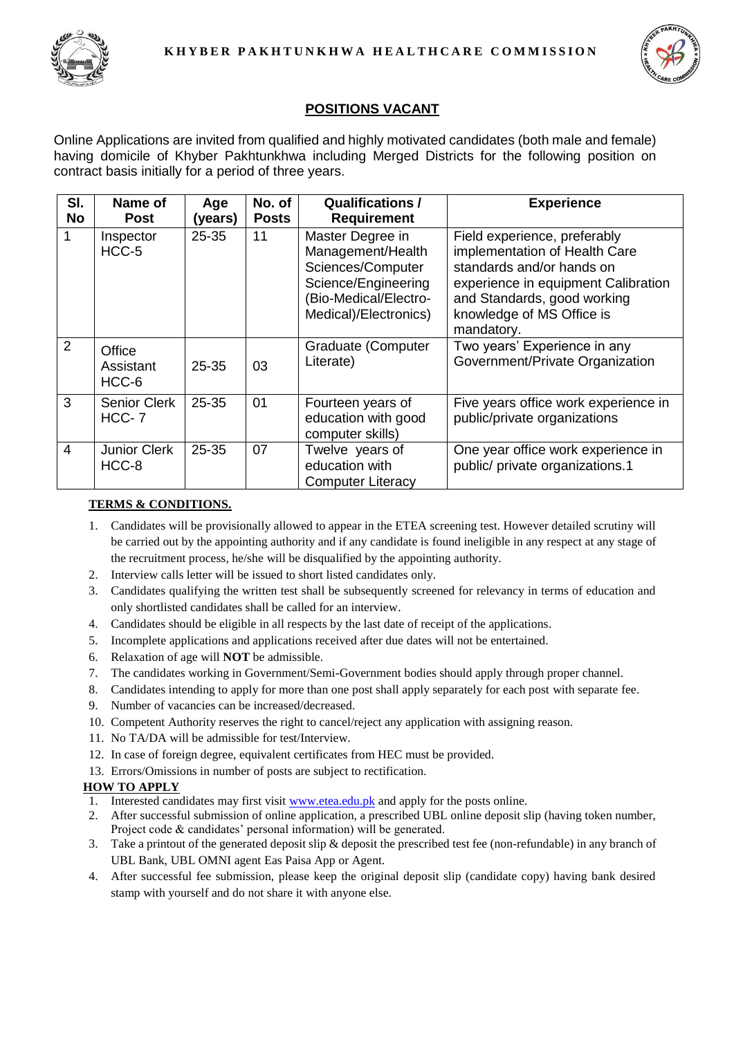



# **POSITIONS VACANT**

Online Applications are invited from qualified and highly motivated candidates (both male and female) having domicile of Khyber Pakhtunkhwa including Merged Districts for the following position on contract basis initially for a period of three years.

| SI.<br><b>No</b> | Name of<br><b>Post</b>         | Age<br>(years) | No. of<br><b>Posts</b> | <b>Qualifications /</b><br><b>Requirement</b>                                                                                       | <b>Experience</b>                                                                                                                                                                                           |
|------------------|--------------------------------|----------------|------------------------|-------------------------------------------------------------------------------------------------------------------------------------|-------------------------------------------------------------------------------------------------------------------------------------------------------------------------------------------------------------|
|                  | Inspector<br>HCC-5             | 25-35          | 11                     | Master Degree in<br>Management/Health<br>Sciences/Computer<br>Science/Engineering<br>(Bio-Medical/Electro-<br>Medical)/Electronics) | Field experience, preferably<br>implementation of Health Care<br>standards and/or hands on<br>experience in equipment Calibration<br>and Standards, good working<br>knowledge of MS Office is<br>mandatory. |
| 2                | Office<br>Assistant<br>HCC-6   | 25-35          | 03                     | <b>Graduate (Computer</b><br>Literate)                                                                                              | Two years' Experience in any<br>Government/Private Organization                                                                                                                                             |
| 3                | <b>Senior Clerk</b><br>$HCC-7$ | 25-35          | 01                     | Fourteen years of<br>education with good<br>computer skills)                                                                        | Five years office work experience in<br>public/private organizations                                                                                                                                        |
| $\overline{4}$   | <b>Junior Clerk</b><br>HCC-8   | 25-35          | 07                     | Twelve years of<br>education with<br><b>Computer Literacy</b>                                                                       | One year office work experience in<br>public/ private organizations.1                                                                                                                                       |

## **TERMS & CONDITIONS.**

- 1. Candidates will be provisionally allowed to appear in the ETEA screening test. However detailed scrutiny will be carried out by the appointing authority and if any candidate is found ineligible in any respect at any stage of the recruitment process, he/she will be disqualified by the appointing authority.
- 2. Interview calls letter will be issued to short listed candidates only.
- 3. Candidates qualifying the written test shall be subsequently screened for relevancy in terms of education and only shortlisted candidates shall be called for an interview.
- 4. Candidates should be eligible in all respects by the last date of receipt of the applications.
- 5. Incomplete applications and applications received after due dates will not be entertained.
- 6. Relaxation of age will **NOT** be admissible.
- 7. The candidates working in Government/Semi-Government bodies should apply through proper channel.
- 8. Candidates intending to apply for more than one post shall apply separately for each post with separate fee.
- 9. Number of vacancies can be increased/decreased.
- 10. Competent Authority reserves the right to cancel/reject any application with assigning reason.
- 11. No TA/DA will be admissible for test/Interview.
- 12. In case of foreign degree, equivalent certificates from HEC must be provided.
- 13. Errors/Omissions in number of posts are subject to rectification.

## **HOW TO APPLY**

- 1. Interested candidates may first visit [www.etea.edu.pk](http://www.etea.edu.pk/) and apply for the posts online.
- 2. After successful submission of online application, a prescribed UBL online deposit slip (having token number, Project code & candidates' personal information) will be generated.
- 3. Take a printout of the generated deposit slip & deposit the prescribed test fee (non-refundable) in any branch of UBL Bank, UBL OMNI agent Eas Paisa App or Agent.
- 4. After successful fee submission, please keep the original deposit slip (candidate copy) having bank desired stamp with yourself and do not share it with anyone else.